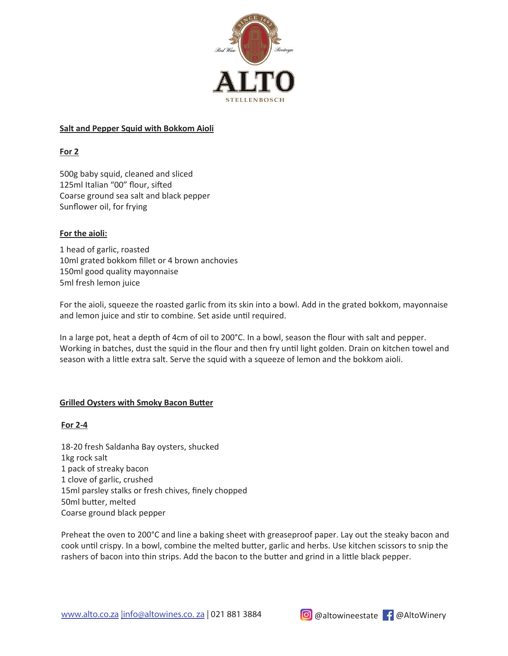

## **Salt and Pepper Squid with Bokkom Aioli**

**For 2**

500g baby squid, cleaned and sliced 125ml Italian "00" flour, sifted Coarse ground sea salt and black pepper Sunflower oil, for frying

## **For the aioli:**

1 head of garlic, roasted 10ml grated bokkom fillet or 4 brown anchovies 150ml good quality mayonnaise 5ml fresh lemon juice

For the aioli, squeeze the roasted garlic from its skin into a bowl. Add in the grated bokkom, mayonnaise and lemon juice and stir to combine. Set aside until required.

In a large pot, heat a depth of 4cm of oil to 200°C. In a bowl, season the flour with salt and pepper. Working in batches, dust the squid in the flour and then fry until light golden. Drain on kitchen towel and season with a little extra salt. Serve the squid with a squeeze of lemon and the bokkom aioli.

## **Grilled Oysters with Smoky Bacon Butter**

## **For 2-4**

18-20 fresh Saldanha Bay oysters, shucked 1kg rock salt 1 pack of streaky bacon 1 clove of garlic, crushed 15ml parsley stalks or fresh chives, finely chopped 50ml butter, melted Coarse ground black pepper

Preheat the oven to 200°C and line a baking sheet with greaseproof paper. Lay out the steaky bacon and cook until crispy. In a bowl, combine the melted butter, garlic and herbs. Use kitchen scissors to snip the rashers of bacon into thin strips. Add the bacon to the butter and grind in a little black pepper.